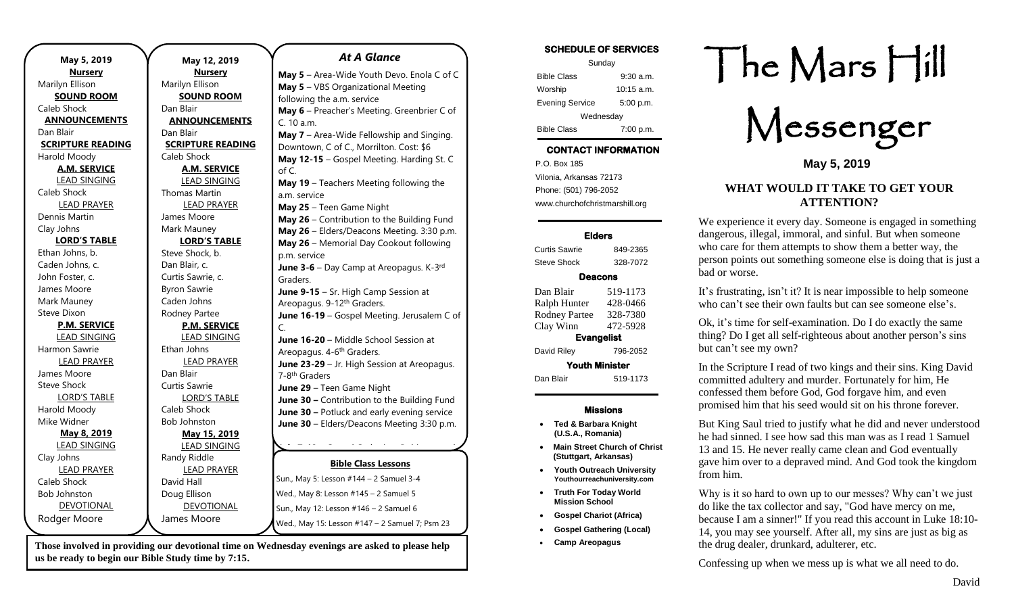| May 5, 2019              | May 12, 2           |
|--------------------------|---------------------|
| <u>Nursery</u>           | <b>Nurser</b>       |
| Marilyn Ellison          | Marilyn Ellison     |
| <b>SOUND ROOM</b>        | <b>SOUND RO</b>     |
| Caleb Shock              | Dan Blair           |
| <b>ANNOUNCEMENTS</b>     | <b>ANNOUNCEI</b>    |
| Dan Blair                | Dan Blair           |
| <b>SCRIPTURE READING</b> | <b>SCRIPTURE RI</b> |
| Harold Moody             | Caleb Shock         |
| <b>A.M. SERVICE</b>      | A.M. SERI           |
| <b>LEAD SINGING</b>      | <b>LEAD SING</b>    |
| Caleb Shock              | Thomas Martin       |
| <b>LEAD PRAYER</b>       | <b>LEAD PRA</b>     |
| Dennis Martin            | James Moore         |
| Clay Johns               | Mark Mauney         |
| <b>LORD'S TABLE</b>      | <b>LORD'S TA</b>    |
| Ethan Johns, b.          | Steve Shock, b.     |
| Caden Johns, c.          | Dan Blair, c.       |
| John Foster, c.          | Curtis Sawrie, c.   |
| James Moore              | <b>Byron Sawrie</b> |
| Mark Mauney              | Caden Johns         |
| <b>Steve Dixon</b>       | Rodney Partee       |
| <b>P.M. SERVICE</b>      | P.M. SER\           |
| <b>LEAD SINGING</b>      | <b>LEAD SING</b>    |
| Harmon Sawrie            | Ethan Johns         |
| <b>LEAD PRAYER</b>       | <b>LEAD PRA</b>     |
| James Moore              | Dan Blair           |
| <b>Steve Shock</b>       | Curtis Sawrie       |
| <b>LORD'S TABLE</b>      | <b>LORD'S TA</b>    |
| Harold Moody             | Caleb Shock         |
| Mike Widner              | <b>Bob Johnston</b> |
| May 8, 2019              | May 15, 2           |
| <b>LEAD SINGING</b>      | <b>LEAD SING</b>    |
| Clay Johns               | Randy Riddle        |
| <b>LEAD PRAYER</b>       | <b>LEAD PRA</b>     |
| Caleb Shock              | David Hall          |
| <b>Bob Johnston</b>      | Doug Ellison        |
| <b>DEVOTIONAL</b>        | <b>DEVOTIOI</b>     |
| Rodger Moore             | James Moore         |
|                          |                     |

#### **May 12, 2019** ery **BOOM EMENTS READING RVICE IGING AYER LORD'S TABLE RVICE IGING AYER ABLE May 15, 2019 IGING** RAYER ONAL **Bible Class Lessons** sun., May 5: Lesson #144 – 2 Samuel 3-4 Wed., May 8: Lesson #145 – 2 Samuel 5 Sun., May 12: Lesson #146 – 2 Samuel 6 Wed., May 15: Lesson #147 – 2 Samuel 7; Psm 23 *At A Glance*  **May 5** – Area-Wide Youth Devo. Enola C of C **May 5** – VBS Organizational Meeting following the a.m. service **May 6** – Preacher's Meeting. Greenbrier C of C. 10 a.m. **May 7** – Area-Wide Fellowship and Singing. Downtown, C of C., Morrilton. Cost: \$6 **May 12-15** – Gospel Meeting. Harding St. C of C. **May 19** – Teachers Meeting following the a.m. service **May 25** – Teen Game Night **May 26** – Contribution to the Building Fund **May 26** – Elders/Deacons Meeting. 3:30 p.m. **May 26** – Memorial Day Cookout following p.m. service **June 3-6** – Day Camp at Areopagus. K-3<sup>rd</sup> Graders. **June 9-15** – Sr. High Camp Session at Areopagus. 9-12th Graders. **June 16-19** – Gospel Meeting. Jerusalem C of C. **June 16-20** – Middle School Session at Areopagus. 4-6<sup>th</sup> Graders. **June 23-29** – Jr. High Session at Areopagus. 7-8<sup>th</sup> Graders **June 29** – Teen Game Night **June 30 –** Contribution to the Building Fund **June 30 –** Potluck and early evening service **June 30** – Elders/Deacons Meeting 3:30 p.m. **July 7-12** – Gospel Gathering. Robinson and **July 27-2010** – View Article 2011

**Those involved in providing our devotional time on Wednesday evenings are asked to please help us be ready to begin our Bible Study time by 7:15.** 

#### **SCHEDULE OF SERVICES**

| Sunday                 |              |  |
|------------------------|--------------|--|
| <b>Bible Class</b>     | $9:30$ a.m.  |  |
| Worship                | $10:15$ a.m. |  |
| <b>Evening Service</b> | 5:00 p.m.    |  |
| Wednesday              |              |  |
| <b>Bible Class</b>     | 7:00 p.m.    |  |

## **CONTACT INFORMATION**

. .o. Box 166<br>Vilonia, Arkansas 72173 P.O. Box 185 Phone: (501) 796-2052 www.churchofchristmarshill.org

#### **Elders**

Curtis Sawrie 849-2365 Steve Shock 328-7072 **Deacons**  Dan Blair 519-1173 Ralph Hunter 428-0466 Rodney Partee 328-7380 Clay Winn 472-5928

**Evangelist** 

David Riley 796-2052

**Youth Minister**  Dan Blair 519-1173

## **Missions**

- **Ted & Barbara Knight (U.S.A., Romania)**
- **Main Street Church of Christ (Stuttgart, Arkansas)**
- **Youth Outreach University Youthourreachuniversity.com**
- **Truth For Today World Mission School**
- **Gospel Chariot (Africa)**
- **Gospel Gathering (Local)**
- **Camp Areopagus**

# The Mars Hill

Messenger

**May 5, 2019**

#### **WHAT WOULD IT TAKE TO GET YOUR ATTENTION?**

We experience it every day. Someone is engaged in something dangerous, illegal, immoral, and sinful. But when someone who care for them attempts to show them a better way, the person points out something someone else is doing that is just a bad or worse.

It's frustrating, isn't it? It is near impossible to help someone who can't see their own faults but can see someone else's.

Ok, it's time for self-examination. Do I do exactly the same thing? Do I get all self-righteous about another person's sins but can't see my own?

In the Scripture I read of two kings and their sins. King David committed adultery and murder. Fortunately for him, He confessed them before God, God forgave him, and even promised him that his seed would sit on his throne forever.

But King Saul tried to justify what he did and never understood he had sinned. I see how sad this man was as I read 1 Samuel 13 and 15. He never really came clean and God eventually gave him over to a depraved mind. And God took the kingdom from him.

Why is it so hard to own up to our messes? Why can't we just do like the tax collector and say, "God have mercy on me, because I am a sinner!" If you read this account in Luke 18:10- 14, you may see yourself. After all, my sins are just as big as the drug dealer, drunkard, adulterer, etc.

Confessing up when we mess up is what we all need to do.